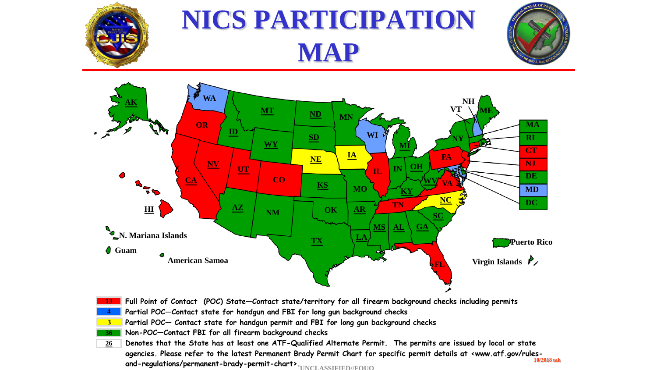

# **NICS PARTICIPATION MAP**





- **Full Point of Contact (POC) State—Contact state/territory for all firearm background checks including permits 13**
- **Partial POC—Contact state for handgun and FBI for long gun background checks 4**
- **Partial POC— Contact state for handgun permit and FBI for long gun background checks 3**
- **Non-POC—Contact FBI for all firearm background checks 36**
- **Denotes that the State has at least one ATF-Qualified Alternate Permit. The permits are issued by local or state agencies. Please refer to the latest Permanent Brady Permit Chart for specific permit details at <www.atf.gov/rulesand-regulations/permanent-brady-permit-chart>. UNCLASSIFIED//FOUO10/2018 tah 26**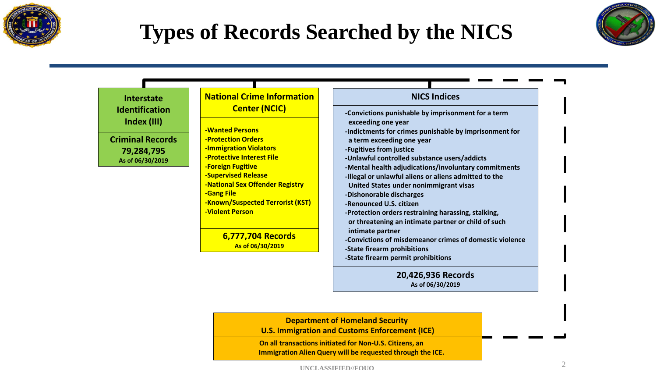

### **Types of Records Searched by the NICS**





**20,426,936 Records As of 06/30/2019**

**Department of Homeland Security** 

**U.S. Immigration and Customs Enforcement (ICE)**

**On all transactions initiated for Non-U.S. Citizens, an Immigration Alien Query will be requested through the ICE.**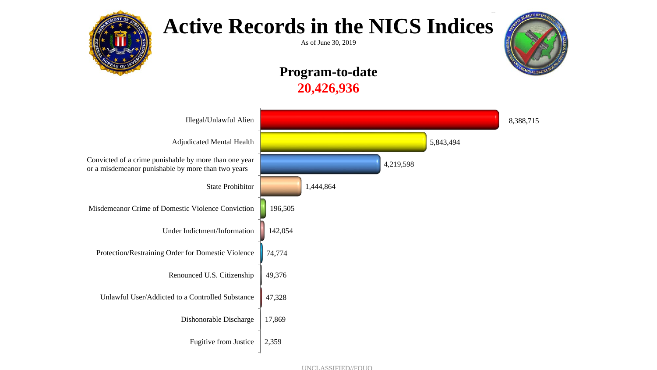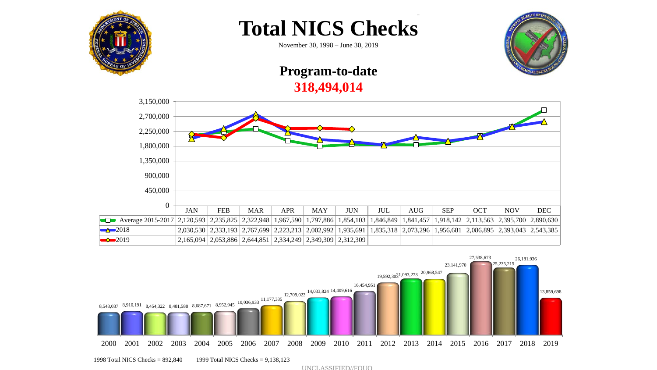



November 30, 1998 – June 30, 2019

### **Program-to-date 318,494,014**





1998 Total NICS Checks = 892,840 1999 Total NICS Checks = 9,138,123